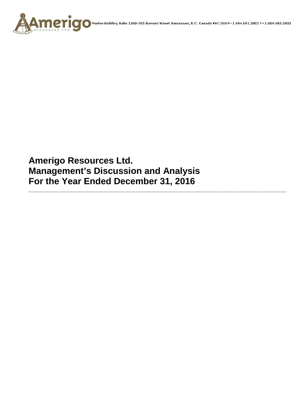

**Amerigo Resources Ltd. Management's Discussion and Analysis For the Year Ended December 31, 2016**

**\_\_\_\_\_\_\_\_\_\_\_\_\_\_\_\_\_\_\_\_\_\_\_\_\_\_\_\_\_\_\_\_\_\_\_\_\_\_\_\_\_\_\_\_\_\_\_\_\_\_\_\_\_\_\_\_\_\_\_\_\_\_\_\_\_\_\_\_\_\_\_\_\_\_\_\_\_\_\_\_\_\_\_\_**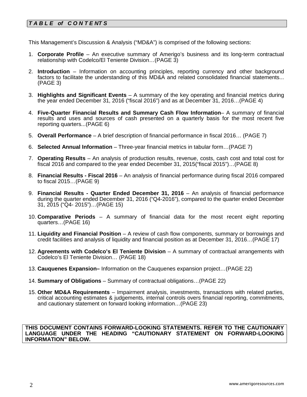# *T A B L E of C O N T E NT S*

This Management's Discussion & Analysis ("MD&A") is comprised of the following sections:

- 1. **Corporate Profile**  An executive summary of Amerigo's business and its long-term contractual relationship with Codelco/El Teniente Division…(PAGE 3)
- 2. **Introduction**  Information on accounting principles, reporting currency and other background factors to facilitate the understanding of this MD&A and related consolidated financial statements... (PAGE 3)
- 3. **Highlights and Significant Events** A summary of the key operating and financial metrics during the year ended December 31, 2016 ("fiscal 2016") and as at December 31, 2016…(PAGE 4)
- 4. **Five-Quarter Financial Results and Summary Cash Flow Information** A summary of financial results and uses and sources of cash presented on a quarterly basis for the most recent five reporting quarters...(PAGE 6)
- 5. **Overall Performance** A brief description of financial performance in fiscal 2016… (PAGE 7)
- 6. **Selected Annual Information** Three-year financial metrics in tabular form…(PAGE 7)
- 7. **Operating Results** An analysis of production results, revenue, costs, cash cost and total cost for fiscal 2016 and compared to the year ended December 31, 2015("fiscal 2015")…(PAGE 8)
- 8. **Financial Results - Fiscal 2016** An analysis of financial performance during fiscal 2016 compared to fiscal 2015…(PAGE 9)
- 9. **Financial Results - Quarter Ended December 31, 2016** An analysis of financial performance during the quarter ended December 31, 2016 ("Q4-2016"), compared to the quarter ended December 31, 2015 ("Q4- 2015")…(PAGE 15)
- 10. **Comparative Periods** A summary of financial data for the most recent eight reporting quarters…(PAGE 16)
- 11. **Liquidity and Financial Position** A review of cash flow components, summary or borrowings and credit facilities and analysis of liquidity and financial position as at December 31, 2016…(PAGE 17)
- 12. **Agreements with Codelco's El Teniente Division** A summary of contractual arrangements with Codelco's El Teniente Division… (PAGE 18)
- 13. **Cauquenes Expansion–** Information on the Cauquenes expansion project…(PAGE 22)
- 14. **Summary of Obligations**  Summary of contractual obligations…(PAGE 22)
- 15. **Other MD&A Requirements**  Impairment analysis, investments, transactions with related parties, critical accounting estimates & judgements, internal controls overs financial reporting, commitments, and cautionary statement on forward looking information…(PAGE 23)

**THIS DOCUMENT CONTAINS FORWARD-LOOKING STATEMENTS. REFER TO THE CAUTIONARY LANGUAGE UNDER THE HEADING "CAUTIONARY STATEMENT ON FORWARD-LOOKING INFORMATION" BELOW.**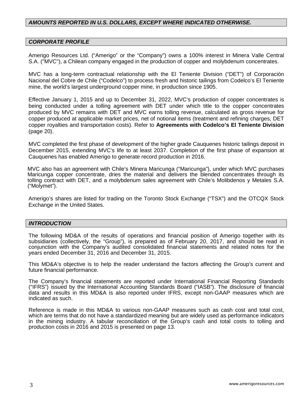### *AMOUNTS REPORTED IN U.S. DOLLARS, EXCEPT WHERE INDICATED OTHERWISE.*

#### *CORPORATE PROFILE*

Amerigo Resources Ltd. ("Amerigo" or the "Company") owns a 100% interest in Minera Valle Central S.A. ("MVC"), a Chilean company engaged in the production of copper and molybdenum concentrates.

MVC has a long-term contractual relationship with the El Teniente Division ("DET") of Corporación Nacional del Cobre de Chile ("Codelco") to process fresh and historic tailings from Codelco's El Teniente mine, the world's largest underground copper mine, in production since 1905.

Effective January 1, 2015 and up to December 31, 2022, MVC's production of copper concentrates is being conducted under a tolling agreement with DET under which title to the copper concentrates produced by MVC remains with DET and MVC earns tolling revenue, calculated as gross revenue for copper produced at applicable market prices, net of notional items (treatment and refining charges, DET copper royalties and transportation costs). Refer to **Agreements with Codelco's El Teniente Division**  (page 20).

MVC completed the first phase of development of the higher grade Cauquenes historic tailings deposit in December 2015, extending MVC's life to at least 2037. Completion of the first phase of expansion at Cauquenes has enabled Amerigo to generate record production in 2016.

MVC also has an agreement with Chile's Minera Maricunga ("Maricunga"), under which MVC purchases Maricunga copper concentrate, dries the material and delivers the blended concentrates through its tolling contract with DET, and a molybdenum sales agreement with Chile's Molibdenos y Metales S.A. ("Molymet").

Amerigo's shares are listed for trading on the Toronto Stock Exchange ("TSX") and the OTCQX Stock Exchange in the United States.

#### *INTRODUCTION*

The following MD&A of the results of operations and financial position of Amerigo together with its subsidiaries (collectively, the "Group"), is prepared as of February 20, 2017, and should be read in conjunction with the Company's audited consolidated financial statements and related notes for the years ended December 31, 2016 and December 31, 2015.

This MD&A's objective is to help the reader understand the factors affecting the Group's current and future financial performance.

The Company's financial statements are reported under International Financial Reporting Standards ("IFRS") issued by the International Accounting Standards Board ("IASB"). The disclosure of financial data and results in this MD&A is also reported under IFRS, except non-GAAP measures which are indicated as such.

Reference is made in this MD&A to various non-GAAP measures such as cash cost and total cost, which are terms that do not have a standardized meaning but are widely used as performance indicators in the mining industry. A tabular reconciliation of the Group's cash and total costs to tolling and production costs in 2016 and 2015 is presented on page 13.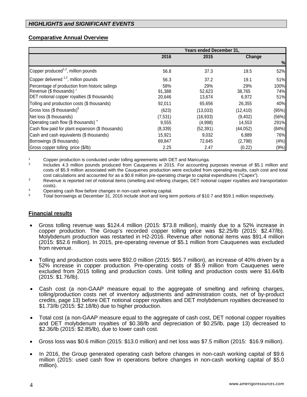### **Comparative Annual Overview**

|                                                   | Years ended December 31, |           |           |       |  |
|---------------------------------------------------|--------------------------|-----------|-----------|-------|--|
|                                                   | 2016                     | 2015      | Change    |       |  |
|                                                   |                          |           |           | %     |  |
| Copper produced <sup>1,2</sup> , million pounds   | 56.8                     | 37.3      | 19.5      | 52%   |  |
| Copper delivered <sup>1,2</sup> , million pounds  | 56.3                     | 37.2      | 19.1      | 51%   |  |
| Percentage of production from historic tailings   | 58%                      | 29%       | 29%       | 100%  |  |
| Revenue (\$ thousands) °                          | 91.388                   | 52,623    | 38,765    | 74%   |  |
| DET notional copper royalties (\$ thousands)      | 20,646                   | 13,674    | 6,972     | 51%   |  |
| Tolling and production costs (\$ thousands)       | 92,011                   | 65,656    | 26,355    | 40%   |  |
| Gross loss (\$ thousands) <sup>5</sup>            | (623)                    | (13,033)  | (12, 410) | (95%) |  |
| Net loss (\$ thousands)                           | (7,531)                  | (16, 933) | (9,402)   | (56%) |  |
| Operating cash flow (\$ thousands) 4              | 9,555                    | (4,998)   | 14,553    | 291%  |  |
| Cash flow paid for plant expansion (\$ thousands) | (8, 339)                 | (52, 391) | (44,052)  | (84%) |  |
| Cash and cash equivalents (\$ thousands)          | 15,921                   | 9,032     | 6,889     | 76%   |  |
| Borrowings (\$ thousands)                         | 69,847                   | 72,645    | (2,798)   | (4% ) |  |
| Gross copper tolling price (\$/lb)                | 2.25                     | 2.47      | (0.22)    | (9%)  |  |

1 Copper production is conducted under tolling agreements with DET and Maricunga.<br>2 Perudas 4.3 million pounds produced from Couguenos in 2015. For accounting

2 Includes 4.3 million pounds produced from Cauquenes in 2015. For accounting purposes revenue of \$5.1 million and costs of \$5.9 million associated with the Cauquenes production were excluded from operating results, cash cost and total cost calculations and accounted for as a \$0.8 million pre-operating charge to capital expenditures ("Capex").

<sup>3</sup> Revenue is reported net of notional items (smelting and refining charges, DET notional copper royalties and transportation costs).<br>Operating cash flow before changes in non-cash working capital.

<sup>4</sup> Operating cash flow before changes in non-cash working capital.<br><sup>5</sup> Total borrowings at December 31, 2016 include short and long term portions of \$10.7 and \$59.1 million respectively.

### **Financial results**

- Gross tolling revenue was \$124.4 million (2015: \$73.8 million), mainly due to a 52% increase in copper production. The Group's recorded copper tolling price was \$2.25/lb (2015: \$2.47/lb). Molybdenum production was restarted in H2-2016. Revenue after notional items was \$91.4 million (2015: \$52.6 million). In 2015, pre-operating revenue of \$5.1 million from Cauquenes was excluded from revenue.
- Tolling and production costs were \$92.0 million (2015: \$65.7 million), an increase of 40% driven by a 52% increase in copper production. Pre-operating costs of \$5.9 million from Cauquenes were excluded from 2015 tolling and production costs. Unit tolling and production costs were \$1.64/lb (2015: \$1.76/lb).
- Cash cost (a non-GAAP measure equal to the aggregate of smelting and refining charges, tolling/production costs net of inventory adjustments and administration costs, net of by-product credits, page 13) before DET notional copper royalties and DET molybdenum royalties decreased to \$1.73/lb (2015: \$2.18/lb) due to higher production.
- Total cost (a non-GAAP measure equal to the aggregate of cash cost, DET notional copper royalties and DET molybdenum royalties of \$0.38/lb and depreciation of \$0.25/lb, page 13) decreased to \$2.36/lb (2015: \$2.85/lb), due to lower cash cost.
- Gross loss was \$0.6 million (2015: \$13.0 million) and net loss was \$7.5 million (2015: \$16.9 million).
- In 2016, the Group generated operating cash before changes in non-cash working capital of \$9.6 million (2015: used cash flow in operations before changes in non-cash working capital of \$5.0 million).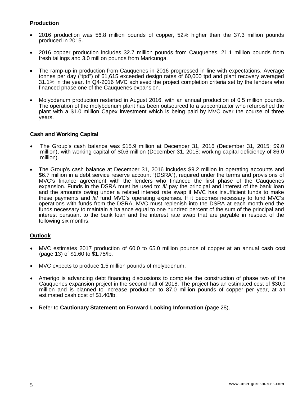### **Production**

- 2016 production was 56.8 million pounds of copper, 52% higher than the 37.3 million pounds produced in 2015.
- 2016 copper production includes 32.7 million pounds from Cauquenes, 21.1 million pounds from fresh tailings and 3.0 million pounds from Maricunga.
- The ramp-up in production from Cauquenes in 2016 progressed in line with expectations. Average tonnes per day ("tpd") of 61,615 exceeded design rates of 60,000 tpd and plant recovery averaged 31.1% in the year. In Q4-2016 MVC achieved the project completion criteria set by the lenders who financed phase one of the Cauquenes expansion.
- Molybdenum production restarted in August 2016, with an annual production of 0.5 million pounds. The operation of the molybdenum plant has been outsourced to a subcontractor who refurbished the plant with a \$1.0 million Capex investment which is being paid by MVC over the course of three years.

#### **Cash and Working Capital**

- The Group's cash balance was \$15.9 million at December 31, 2016 (December 31, 2015: \$9.0 million), with working capital of \$0.6 million (December 31, 2015: working capital deficiency of \$6.0 million).
- The Group's cash balance at December 31, 2016 includes \$9.2 million in operating accounts and \$6.7 million in a debt service reserve account "(DSRA"), required under the terms and provisions of MVC's finance agreement with the lenders who financed the first phase of the Cauquenes expansion. Funds in the DSRA must be used to: /i/ pay the principal and interest of the bank loan and the amounts owing under a related interest rate swap if MVC has insufficient funds to make these payments and /ii/ fund MVC's operating expenses. If it becomes necessary to fund MVC's operations with funds from the DSRA, MVC must replenish into the DSRA at each month end the funds necessary to maintain a balance equal to one hundred percent of the sum of the principal and interest pursuant to the bank loan and the interest rate swap that are payable in respect of the following six months.

### **Outlook**

- MVC estimates 2017 production of 60.0 to 65.0 million pounds of copper at an annual cash cost (page 13) of \$1.60 to \$1.75/lb.
- MVC expects to produce 1.5 million pounds of molybdenum.
- Amerigo is advancing debt financing discussions to complete the construction of phase two of the Cauquenes expansion project in the second half of 2018. The project has an estimated cost of \$30.0 million and is planned to increase production to 87.0 million pounds of copper per year, at an estimated cash cost of \$1.40/lb.
- Refer to **Cautionary Statement on Forward Looking Information** (page 28).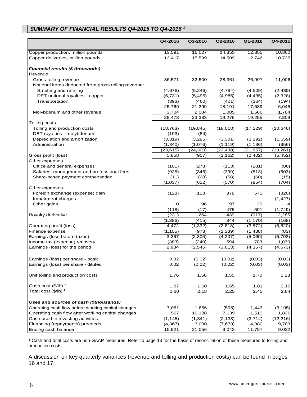# *SUMMARY OF FINANCIAL RESULTS Q4-2015 TO Q4-2016 <sup>1</sup>*

|                                                     | Q4-2016   | Q3-2016   | Q2-2016   | Q1-2016   | Q4-2015   |
|-----------------------------------------------------|-----------|-----------|-----------|-----------|-----------|
| Copper production, million pounds                   | 13.591    | 16.027    | 14.355    | 12.855    | 10.860    |
| Copper deliveries, million pounds                   | 13.417    | 15.599    | 14.509    | 12.746    | 10.737    |
| Financial results (\$ thousands)                    |           |           |           |           |           |
| Revenue                                             |           |           |           |           |           |
| Gross tolling revenue                               | 36,571    | 32,500    | 28,361    | 26,997    | 11,006    |
| Notional items deducted from gross tolling revenue: |           |           |           |           |           |
| Smelting and refining                               | (4,678)   | (5, 246)  | (4,784)   | (4,509)   | (2, 439)  |
| DET notional royalties - copper                     | (5,731)   | (5, 495)  | (4,985)   | (4, 435)  | (2,328)   |
| Transportation                                      | (393)     | (460)     | (401)     | (364)     | (194)     |
|                                                     | 25,769    | 21,299    | 18,191    | 17,689    | 6,045     |
| Molybdenum and other revenue                        | 3,704     | 2,084     | 1,085     | 1,566     | 1,764     |
|                                                     | 29,473    | 23,383    | 19,276    | 19,255    | 7,809     |
| Tolling costs                                       |           |           |           |           |           |
| Tolling and production costs                        | (18, 763) | (19, 845) | (18,018)  | (17, 229) | (10, 646) |
| DET royalties - molybdenum                          | (193)     | (84)      |           |           |           |
| Depreciation and amortization                       | (3,319)   | (3,295)   | (3,301)   | (3,292)   | (1,659)   |
| Administration                                      | (1, 340)  | (1,076)   | (1, 119)  | (1, 136)  | (956)     |
|                                                     | (23, 615) | (24, 300) | (22, 438) | (21, 657) | (13, 261) |
| Gross profit (loss)                                 | 5,858     | (917)     | (3, 162)  | (2,402)   | (5, 452)  |
| Other expenses                                      |           |           |           |           |           |
| Office and general expenses                         | (101)     | (278)     | (113)     | (281)     | (86)      |
| Salaries, management and professional fees          | (925)     | (346)     | (399)     | (513)     | (603)     |
| Share-based payment compensation                    | (11)      | (28)      | (58)      | (60)      | (15)      |
|                                                     | (1,037)   | (652)     | (570)     | (854)     | (704)     |
| Other expenses                                      |           |           |           |           |           |
| Foreign exchange (expense) gain                     | (128)     | (113)     | 378       | 571       | (326)     |
| Impairment charges                                  |           |           |           |           | (1, 427)  |
| Other gains                                         | 10        | 96        | 97        | 30        | 4         |
|                                                     | (118)     | (17)      | 475       | 601       | (1,749)   |
| Royalty derivative                                  | (231)     | 254       | 439       | (917)     | 2,285     |
|                                                     | (1, 386)  | (415)     | 344       | (1, 170)  | (168)     |
| Operating profit (loss)                             | 4,472     | (1, 332)  | (2,818)   | (3, 572)  | (5,620)   |
| Finance expense                                     | (1, 105)  | (973)     | (1, 389)  | (1,488)   | (83)      |
| Earnings (loss before taxes)                        | 3,367     | (2,305)   | (4,207)   | (5,060)   | (5,703)   |
| Income tax (expense) recovery                       | (383)     | (240)     | 594       | 703       | 1,030     |
| Earnings (loss) for the period                      | 2,984     | (2, 545)  | (3,613)   | (4, 357)  | (4, 673)  |
|                                                     |           |           |           |           |           |
|                                                     |           |           |           |           |           |
| Earnings (loss) per share - basic                   | 0.02      | (0.02)    | (0.02)    | (0.03)    | (0.03)    |
| Earnings (loss) per share - diluted                 | 0.02      | (0.02)    | (0.02)    | (0.03)    | (0.03)    |
| Unit tolling and production costs                   | 1.76      | 1.56      | 1.55      | 1.70      | 1.23      |
| Cash cost $(\frac{5}{lb})^1$                        | 1.87      | 1.60      | 1.65      | 1.81      | 2.16      |
| Total cost (\$/lb) <sup>1</sup>                     | 2.60      | 2.18      | 2.25      | 2.45      | 2.84      |
| Uses and sources of cash (\$thousands)              |           |           |           |           |           |
| Operating cash flow before working capital changes  | 7,051     | 1,656     | (595)     | 1,443     | (3, 105)  |
| Operating cash flow after working capital changes   | 567       | 10,188    | 7,139     | 1,513     | 1,826     |
| Cash used in investing activities                   | (1, 145)  | (1, 341)  | (2, 138)  | (3,714)   | (12, 216) |
| Financing (repayments) proceeds                     | (4, 367)  | 3,000     | (7,673)   | 4,380     | 9,783     |
| Ending cash balance                                 | 15,921    | 21,056    | 9,043     | 11,757    | 9,032     |

<sup>1</sup> Cash and total costs are non-GAAP measures. Refer to page 13 for the basis of reconciliation of these measures to tolling and production costs.

A discussion on key quarterly variances (revenue and tolling and production costs) can be found in pages 16 and 17.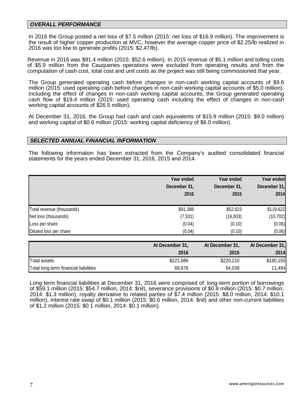#### *OVERALL PERFORMANCE*

In 2016 the Group posted a net loss of \$7.5 million (2015: net loss of \$16.9 million). The improvement is the result of higher copper production at MVC, however the average copper price of \$2.25/lb realized in 2016 was too low to generate profits (2015: \$2.47/lb).

Revenue in 2016 was \$91.4 million (2015: \$52.6 million). In 2015 revenue of \$5.1 million and tolling costs of \$5.9 million from the Cauquenes operations were excluded from operating results and from the computation of cash cost, total cost and unit costs as the project was still being commissioned that year.

The Group generated operating cash before changes in non-cash working capital accounts of \$9.6 million (2015: used operating cash before changes in non-cash working capital accounts of \$5.0 million). Including the effect of changes in non-cash working capital accounts, the Group generated operating cash flow of \$19.4 million (2015: used operating cash including the effect of changes in non-cash working capital accounts of \$26.5 million).

At December 31, 2016, the Group had cash and cash equivalents of \$15.9 million (2015: \$9.0 million) and working capital of \$0.6 million (2015: working capital deficiency of \$6.0 million).

#### *SELECTED ANNUAL FINANCIAL INFORMATION*

The following information has been extracted from the Company's audited consolidated financial statements for the years ended December 31, 2016, 2015 and 2014.

|                           | Year ended<br>December 31,<br>2016 | Year ended<br>December 31,<br>2015 | Year ended<br>December 31,<br>2014 |
|---------------------------|------------------------------------|------------------------------------|------------------------------------|
| Total revenue (thousands) | \$91,388                           | \$52,623                           | \$119,622                          |
| Net loss (thousands)      | (7, 531)                           | (16, 933)                          | (10, 702)                          |
| Loss per share            | (0.04)                             | (0.10)                             | (0.06)                             |
| Diluted loss per share    | (0.04)                             | (0.10)                             | (0.06)                             |

|                                       | At December 31, | At December 31, | At December 31, |
|---------------------------------------|-----------------|-----------------|-----------------|
|                                       | 2016            | 2015            | 2014            |
| Total assets                          | \$221,686       | \$220,210       | \$180,155       |
| Total long-term financial liabilities | 68,676          | 64.039          | 11,494          |

Long term financial liabilities at December 31, 2016 were comprised of: long-term portion of borrowings of \$59.1 million (2015: \$54.7 million, 2014: \$nil), severance provisions of \$0.8 million (2015: \$0.7 million, 2014: \$1.3 million), royalty derivative to related parties of \$7.4 million (2015: \$8.0 million, 2014: \$10.1 million), interest rate swap of \$0.1 million (2015: \$0.6 million, 2014: \$nil) and other non-current liabilities of \$1.2 million (2015: \$0.1 million, 2014: \$0.1 million).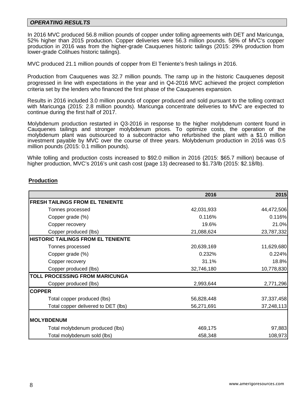#### *OPERATING RESULTS*

In 2016 MVC produced 56.8 million pounds of copper under tolling agreements with DET and Maricunga, 52% higher than 2015 production. Copper deliveries were 56.3 million pounds. 58% of MVC's copper production in 2016 was from the higher-grade Cauquenes historic tailings (2015: 29% production from lower-grade Colihues historic tailings).

MVC produced 21.1 million pounds of copper from El Teniente's fresh tailings in 2016.

Production from Cauquenes was 32.7 million pounds. The ramp up in the historic Cauquenes deposit progressed in line with expectations in the year and in Q4-2016 MVC achieved the project completion criteria set by the lenders who financed the first phase of the Cauquenes expansion.

Results in 2016 included 3.0 million pounds of copper produced and sold pursuant to the tolling contract with Maricunga (2015: 2.8 million pounds). Maricunga concentrate deliveries to MVC are expected to continue during the first half of 2017.

Molybdenum production restarted in Q3-2016 in response to the higher molybdenum content found in Cauquenes tailings and stronger molybdenum prices. To optimize costs, the operation of the molybdenum plant was outsourced to a subcontractor who refurbished the plant with a \$1.0 million investment payable by MVC over the course of three years. Molybdenum production in 2016 was 0.5 million pounds (2015: 0.1 million pounds).

While tolling and production costs increased to \$92.0 million in 2016 (2015: \$65.7 million) because of higher production, MVC's 2016's unit cash cost (page 13) decreased to \$1.73/lb (2015: \$2.18/lb).

#### **Production**

|                                           | 2016       | 2015         |
|-------------------------------------------|------------|--------------|
| <b>FRESH TAILINGS FROM EL TENIENTE</b>    |            |              |
| Tonnes processed                          | 42,031,933 | 44,472,506   |
| Copper grade (%)                          | 0.116%     | 0.116%       |
| Copper recovery                           | 19.6%      | 21.0%        |
| Copper produced (lbs)                     | 21,088,624 | 23,787,332   |
| <b>HISTORIC TAILINGS FROM EL TENIENTE</b> |            |              |
| Tonnes processed                          | 20,639,169 | 11,629,680   |
| Copper grade (%)                          | 0.232%     | 0.224%       |
| Copper recovery                           | 31.1%      | 18.8%        |
| Copper produced (lbs)                     | 32,746,180 | 10,778,830   |
| TOLL PROCESSING FROM MARICUNGA            |            |              |
| Copper produced (lbs)                     | 2,993,644  | 2,771,296    |
| <b>COPPER</b>                             |            |              |
| Total copper produced (lbs)               | 56,828,448 | 37, 337, 458 |
| Total copper delivered to DET (lbs)       | 56,271,691 | 37,248,113   |
| <b>MOLYBDENUM</b>                         |            |              |
| Total molybdenum produced (lbs)           | 469,175    | 97,883       |
| Total molybdenum sold (lbs)               | 458,348    | 108,973      |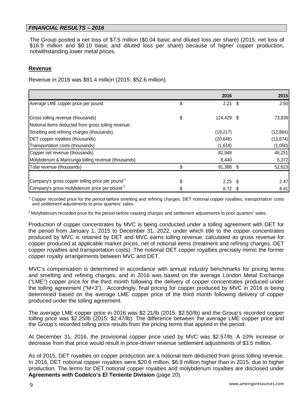#### *FINANCIAL RESULTS – 2016*

The Group posted a net loss of \$7.5 million (\$0.04 basic and diluted loss per share) (2015: net loss of \$16.9 million and \$0.10 basic and diluted loss per share) because of higher copper production, notwithstanding lower metal prices.

### **Revenue**

Revenue in 2016 was \$91.4 million (2015: \$52.6 million).

|                                                                                          | 2016       |      | 2015      |
|------------------------------------------------------------------------------------------|------------|------|-----------|
| Average LME copper price per pound                                                       | \$<br>2.21 | - \$ | 2.50      |
| Gross tolling revenue (thousands)<br>Notional items deducted from gross tolling revenue: | 124,429 \$ |      | 73,839    |
| Smelting and refining charges (thousands)                                                | (19, 217)  |      | (12, 864) |
| DET copper royalties (thousands)                                                         | (20, 646)  |      | (13, 674) |
| Transportation costs (thousands)                                                         | (1,618)    |      | (1,050)   |
| Copper net revenue (thousands)                                                           | 82,948     |      | 46,251    |
| Molybdenum & Maricunga tolling revenue (thousands)                                       | 8,440      |      | 6,372     |
| Total revenue (thousands)                                                                | 91,388 \$  |      | 52,623    |
| Company's gross copper tolling price per pound <sup>1</sup>                              | $2.25$ \$  |      | 2.47      |
| Company's gross molybdenum price per pound <sup>2</sup>                                  | $6.72$ \$  |      | 8.41      |

<sup>1</sup> Copper recorded price for the period before smelting and refining charges, DET notional copper royalties, transportation costs and settlement adjustments to prior quarters' sales.

<sup>2</sup> Molybdenum recorded price for the period before roasting charges and settlement adjustments to prior quarters' sales.

Production of copper concentrates by MVC is being conducted under a tolling agreement with DET for the period from January 1, 2015 to December 31, 2022, under which title to the copper concentrates produced by MVC is retained by DET and MVC earns tolling revenue, calculated as gross revenue for copper produced at applicable market prices, net of notional items (treatment and refining charges, DET copper royalties and transportation costs). The notional DET copper royalties precisely mimic the former copper royalty arrangements between MVC and DET.

MVC's compensation is determined in accordance with annual industry benchmarks for pricing terms and smelting and refining charges, and in 2016 was based on the average London Metal Exchange ("LME") copper price for the third month following the delivery of copper concentrates produced under the tolling agreement ("M+3"). Accordingly, final pricing for copper produced by MVC in 2016 is being determined based on the average LME copper price of the third month following delivery of copper produced under the tolling agreement.

The average LME copper price in 2016 was \$2.21/lb (2015: \$2.50/lb) and the Group's recorded copper tolling price was \$2.25/lb (2015: \$2.47/lb). The difference between the average LME copper price and the Group's recorded tolling price results from the pricing terms that applied in the period.

At December 31, 2016, the provisional copper price used by MVC was \$2.57/lb. A 10% increase or decrease from that price would result in price-driven revenue settlement adjustments of \$3.5 million.

As of 2015, DET royalties on copper production are a notional item deducted from gross tolling revenue. In 2016, DET notional copper royalties were \$20.6 million, \$6.9 million higher than in 2015, due to higher production. The terms for DET notional copper royalties and molybdenum royalties are disclosed under **Agreements with Codelco's El Teniente Division** (page 20).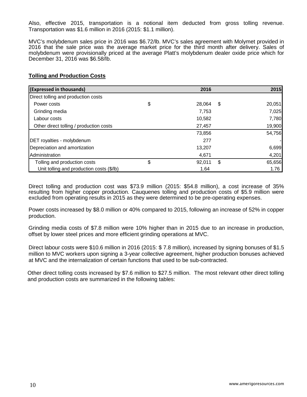Also, effective 2015, transportation is a notional item deducted from gross tolling revenue. Transportation was \$1.6 million in 2016 (2015: \$1.1 million).

MVC's molybdenum sales price in 2016 was \$6.72/lb. MVC's sales agreement with Molymet provided in 2016 that the sale price was the average market price for the third month after delivery. Sales of molybdenum were provisionally priced at the average Platt's molybdenum dealer oxide price which for December 31, 2016 was \$6.58/lb.

### **Tolling and Production Costs**

| (Expressed in thousands)                  | 2016         |      | 2015   |
|-------------------------------------------|--------------|------|--------|
| Direct tolling and production costs       |              |      |        |
| Power costs                               | \$<br>28,064 | - \$ | 20,051 |
| Grinding media                            | 7,753        |      | 7,025  |
| Labour costs                              | 10,582       |      | 7,780  |
| Other direct tolling / production costs   | 27,457       |      | 19,900 |
|                                           | 73,856       |      | 54,756 |
| DET royalties - molybdenum                | 277          |      |        |
| Depreciation and amortization             | 13,207       |      | 6,699  |
| Administration                            | 4,671        |      | 4,201  |
| Tolling and production costs              | \$<br>92,011 | \$   | 65,656 |
| Unit tolling and production costs (\$/lb) | 1.64         |      | 1.76   |

Direct tolling and production cost was \$73.9 million (2015: \$54.8 million), a cost increase of 35% resulting from higher copper production. Cauquenes tolling and production costs of \$5.9 million were excluded from operating results in 2015 as they were determined to be pre-operating expenses.

Power costs increased by \$8.0 million or 40% compared to 2015, following an increase of 52% in copper production.

Grinding media costs of \$7.8 million were 10% higher than in 2015 due to an increase in production, offset by lower steel prices and more efficient grinding operations at MVC.

Direct labour costs were \$10.6 million in 2016 (2015: \$ 7.8 million), increased by signing bonuses of \$1.5 million to MVC workers upon signing a 3-year collective agreement, higher production bonuses achieved at MVC and the internalization of certain functions that used to be sub-contracted.

Other direct tolling costs increased by \$7.6 million to \$27.5 million. The most relevant other direct tolling and production costs are summarized in the following tables: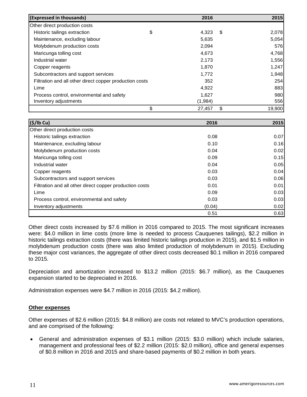| (Expressed in thousands)                                | 2016         | 2015         |
|---------------------------------------------------------|--------------|--------------|
| Other direct production costs                           |              |              |
| Historic tailings extraction                            | \$<br>4,323  | \$<br>2,078  |
| Maintenance, excluding labour                           | 5,635        | 5,054        |
| Molybdenum production costs                             | 2,094        | 576          |
| Maricunga tolling cost                                  | 4,673        | 4,768        |
| Industrial water                                        | 2,173        | 1,556        |
| Copper reagents                                         | 1,870        | 1,247        |
| Subcontractors and support services                     | 1,772        | 1,948        |
| Filtration and all other direct copper production costs | 352          | 254          |
| Lime                                                    | 4,922        | 883          |
| Process control, environmental and safety               | 1,627        | 980          |
| Inventory adjustments                                   | (1,984)      | 556          |
|                                                         | \$<br>27,457 | \$<br>19,900 |

| (S/lb Cu)                                               | 2016   | 2015 |
|---------------------------------------------------------|--------|------|
| Other direct production costs                           |        |      |
| Historic tailings extraction                            | 0.08   | 0.07 |
| Maintenance, excluding labour                           | 0.10   | 0.16 |
| Molybdenum production costs                             | 0.04   | 0.02 |
| Maricunga tolling cost                                  | 0.09   | 0.15 |
| Industrial water                                        | 0.04   | 0.05 |
| Copper reagents                                         | 0.03   | 0.04 |
| Subcontractors and support services                     | 0.03   | 0.06 |
| Filtration and all other direct copper production costs | 0.01   | 0.01 |
| Lime                                                    | 0.09   | 0.03 |
| Process control, environmental and safety               | 0.03   | 0.03 |
| Inventory adjustments                                   | (0.04) | 0.02 |
|                                                         | 0.51   | 0.63 |

Other direct costs increased by \$7.6 million in 2016 compared to 2015. The most significant increases were: \$4.0 million in lime costs (more lime is needed to process Cauquenes tailings), \$2.2 million in historic tailings extraction costs (there was limited historic tailings production in 2015), and \$1.5 million in molybdenum production costs (there was also limited production of molybdenum in 2015). Excluding these major cost variances, the aggregate of other direct costs decreased \$0.1 million in 2016 compared to 2015.

Depreciation and amortization increased to \$13.2 million (2015: \$6.7 million), as the Cauquenes expansion started to be depreciated in 2016.

Administration expenses were \$4.7 million in 2016 (2015: \$4.2 million).

### **Other expenses**

Other expenses of \$2.6 million (2015: \$4.8 million) are costs not related to MVC's production operations, and are comprised of the following:

• General and administration expenses of \$3.1 million (2015: \$3.0 million) which include salaries, management and professional fees of \$2.2 million (2015: \$2.0 million), office and general expenses of \$0.8 million in 2016 and 2015 and share-based payments of \$0.2 million in both years.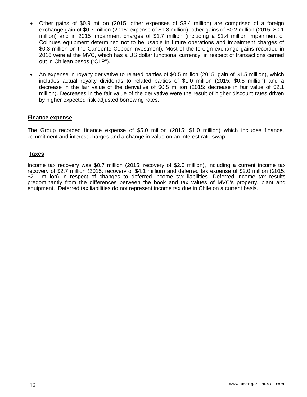- Other gains of \$0.9 million (2015: other expenses of \$3.4 million) are comprised of a foreign exchange gain of \$0.7 million (2015: expense of \$1.8 million), other gains of \$0.2 million (2015: \$0.1 million) and in 2015 impairment charges of \$1.7 million (including a \$1.4 million impairment of Colihues equipment determined not to be usable in future operations and impairment charges of \$0.3 million on the Candente Copper investment). Most of the foreign exchange gains recorded in 2016 were at the MVC, which has a US dollar functional currency, in respect of transactions carried out in Chilean pesos ("CLP").
- An expense in royalty derivative to related parties of \$0.5 million (2015: gain of \$1.5 million), which includes actual royalty dividends to related parties of \$1.0 million (2015: \$0.5 million) and a decrease in the fair value of the derivative of \$0.5 million (2015: decrease in fair value of \$2.1 million). Decreases in the fair value of the derivative were the result of higher discount rates driven by higher expected risk adjusted borrowing rates.

#### **Finance expense**

The Group recorded finance expense of \$5.0 million (2015: \$1.0 million) which includes finance, commitment and interest charges and a change in value on an interest rate swap.

#### **Taxes**

Income tax recovery was \$0.7 million (2015: recovery of \$2.0 million), including a current income tax recovery of \$2.7 million (2015: recovery of \$4.1 million) and deferred tax expense of \$2.0 million (2015: \$2.1 million) in respect of changes to deferred income tax liabilities. Deferred income tax results predominantly from the differences between the book and tax values of MVC's property, plant and equipment. Deferred tax liabilities do not represent income tax due in Chile on a current basis.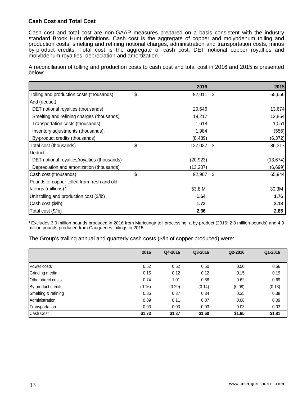### **Cash Cost and Total Cost**

Cash cost and total cost are non-GAAP measures prepared on a basis consistent with the industry standard Brook Hunt definitions. Cash cost is the aggregate of copper and molybdenum tolling and production costs, smelting and refining notional charges, administration and transportation costs, minus by-product credits. Total cost is the aggregate of cash cost, DET notional copper royalties and molybdenum royalties, depreciation and amortization.

A reconciliation of tolling and production costs to cash cost and total cost in 2016 and 2015 is presented below:

|                                              | 2016          |     | 2015      |
|----------------------------------------------|---------------|-----|-----------|
| Tolling and production costs (thousands)     | \$<br>92,011  | -\$ | 65,656    |
| Add (deduct):                                |               |     |           |
| DET notional royalties (thousands)           | 20,646        |     | 13,674    |
| Smelting and refining charges (thousands)    | 19,217        |     | 12,864    |
| Transportation costs (thousands)             | 1,618         |     | 1,051     |
| Inventory adjustments (thousands):           | 1,984         |     | (556)     |
| By-product credits (thousands)               | (8, 439)      |     | (6, 372)  |
| Total cost (thousands)                       | \$<br>127,037 | -\$ | 86,317    |
| Deduct:                                      |               |     |           |
| DET notional royalties/royalties (thousands) | (20, 923)     |     | (13, 674) |
| Depreciation and amortization (thousands)    | (13,207)      |     | (6,699)   |
| Cash cost (thousands)                        | \$<br>92,907  | \$  | 65,944    |
| Pounds of copper tolled from fresh and old   |               |     |           |
| tailings (millions) $1$                      | 53.8 M        |     | 30.3M     |
| Unit tolling and production cost (\$/lb)     | 1.64          |     | 1.76      |
| Cash cost (\$/lb)                            | 1.73          |     | 2.18      |
| Total cost (\$/lb)                           | 2.36          |     | 2.85      |

1 Excludes 3.0 million pounds produced in 2016 from Maricunga toll processing, a by-product (2015: 2.8 million pounds) and 4.3 million pounds produced from Cauquenes tailings in 2015.

The Group's trailing annual and quarterly cash costs (\$/lb of copper produced) were:

|                           | 2016   | Q4-2016 | Q3-2016 | Q2-2016 | Q1-2016 |
|---------------------------|--------|---------|---------|---------|---------|
|                           |        |         |         |         |         |
| Power costs               | 0.52   | 0.52    | 0.50    | 0.50    | 0.56    |
| Grinding media            | 0.15   | 0.12    | 0.12    | 0.15    | 0.19    |
| <b>Other direct costs</b> | 0.74   | 1.01    | 0.68    | 0.62    | 0.69    |
| By-product credits        | (0.16) | (0.29)  | (0.14)  | (0.08)  | (0.13)  |
| Smelting & refining       | 0.36   | 0.37    | 0.34    | 0.35    | 0.38    |
| Administration            | 0.09   | 0.11    | 0.07    | 0.08    | 0.09    |
| Transportation            | 0.03   | 0.03    | 0.03    | 0.03    | 0.03    |
| <b>Cash Cost</b>          | \$1.73 | \$1.87  | \$1.60  | \$1.65  | \$1.81  |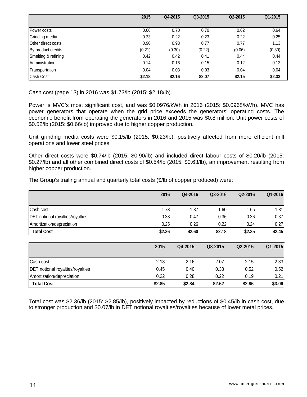|                           | 2015   | Q4-2015 | Q3-2015 | Q2-2015 | Q1-2015 |
|---------------------------|--------|---------|---------|---------|---------|
|                           |        |         |         |         |         |
| Power costs               | 0.66   | 0.70    | 0.70    | 0.62    | 0.64    |
| Grinding media            | 0.23   | 0.22    | 0.23    | 0.22    | 0.25    |
| <b>Other direct costs</b> | 0.90   | 0.93    | 0.77    | 0.77    | 1.13    |
| By-product credits        | (0.21) | (0.30)  | (0.22)  | (0.06)  | (0.30)  |
| Smelting & refining       | 0.42   | 0.42    | 0.41    | 0.44    | 0.44    |
| Administration            | 0.14   | 0.16    | 0.15    | 0.12    | 0.13    |
| Transportation            | 0.04   | 0.03    | 0.03    | 0.04    | 0.04    |
| Cash Cost                 | \$2.18 | \$2.16  | \$2.07  | \$2.15  | \$2.33  |

Cash cost (page 13) in 2016 was \$1.73/lb (2015: \$2.18/lb).

Power is MVC's most significant cost, and was \$0.0976/kWh in 2016 (2015: \$0.0968/kWh). MVC has power generators that operate when the grid price exceeds the generators' operating costs. The economic benefit from operating the generators in 2016 and 2015 was \$0.8 million. Unit power costs of \$0.52/lb (2015: \$0.66/lb) improved due to higher copper production.

Unit grinding media costs were \$0.15/lb (2015: \$0.23/lb), positively affected from more efficient mill operations and lower steel prices.

Other direct costs were \$0.74/lb (2015: \$0.90/lb) and included direct labour costs of \$0.20/lb (2015: \$0.27/lb) and all other combined direct costs of \$0.54/lb (2015: \$0.63/lb), an improvement resulting from higher copper production.

The Group's trailing annual and quarterly total costs (\$/lb of copper produced) were:

|                                         | 2016   | Q4-2016 | Q3-2016 | Q2-2016 | Q1-2016 |
|-----------------------------------------|--------|---------|---------|---------|---------|
|                                         |        |         |         |         |         |
| Cash cost                               | 1.73   | 1.87    | 1.60    | 1.65    | 1.81    |
| <b>DET</b> notional royalties/royalties | 0.38   | 0.47    | 0.36    | 0.36    | 0.37    |
| Amortization/depreciation               | 0.25   | 0.26    | 0.22    | 0.24    | 0.27    |
| <b>Total Cost</b>                       | \$2.36 | \$2.60  | \$2.18  | \$2.25  | \$2.45  |
|                                         |        |         |         |         |         |
|                                         | 2015   | Q4-2015 | Q3-2015 | Q2-2015 | Q1-2015 |
| Cash cost                               | 2.18   | 2.16    | 2.07    | 2.15    | 2.33    |
| <b>DET</b> notional royalties/royalties | 0.45   | 0.40    | 0.33    | 0.52    | 0.52    |
| Amortization/depreciation               | 0.22   | 0.28    | 0.22    | 0.19    | 0.21    |
| <b>Total Cost</b>                       | \$2.85 | \$2.84  | \$2.62  | \$2.86  | \$3.06  |

Total cost was \$2.36/lb (2015: \$2.85/lb), positively impacted by reductions of \$0.45/lb in cash cost, due to stronger production and \$0.07/lb in DET notional royalties/royalties because of lower metal prices.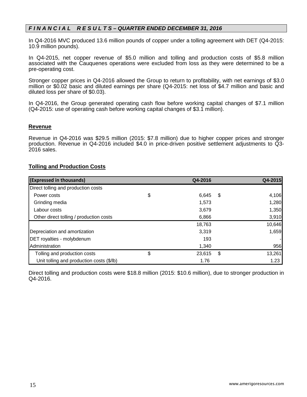### *F I N A N C I A L R E S U L T S – QUARTER ENDED DECEMBER 31, 2016*

In Q4-2016 MVC produced 13.6 million pounds of copper under a tolling agreement with DET (Q4-2015: 10.9 million pounds).

In Q4-2015, net copper revenue of \$5.0 million and tolling and production costs of \$5.8 million associated with the Cauquenes operations were excluded from loss as they were determined to be a pre-operating cost.

Stronger copper prices in Q4-2016 allowed the Group to return to profitability, with net earnings of \$3.0 million or \$0.02 basic and diluted earnings per share (Q4-2015: net loss of \$4.7 million and basic and diluted loss per share of \$0.03).

In Q4-2016, the Group generated operating cash flow before working capital changes of \$7.1 million (Q4-2015: use of operating cash before working capital changes of \$3.1 million).

#### **Revenue**

Revenue in Q4-2016 was \$29.5 million (2015: \$7.8 million) due to higher copper prices and stronger production. Revenue in Q4-2016 included \$4.0 in price-driven positive settlement adjustments to Q3- 2016 sales.

### **Tolling and Production Costs**

| (Expressed in thousands)                  | Q4-2016      |     | Q4-2015 |
|-------------------------------------------|--------------|-----|---------|
| Direct tolling and production costs       |              |     |         |
| Power costs                               | \$<br>6,645  | -\$ | 4,106   |
| Grinding media                            | 1.573        |     | 1,280   |
| Labour costs                              | 3,679        |     | 1,350   |
| Other direct tolling / production costs   | 6,866        |     | 3,910   |
|                                           | 18,763       |     | 10,646  |
| Depreciation and amortization             | 3,319        |     | 1,659   |
| <b>DET</b> royalties - molybdenum         | 193          |     |         |
| Administration                            | 1,340        |     | 956     |
| Tolling and production costs              | \$<br>23,615 | \$  | 13,261  |
| Unit tolling and production costs (\$/lb) | 1.76         |     | 1.23    |

Direct tolling and production costs were \$18.8 million (2015: \$10.6 million), due to stronger production in Q4-2016.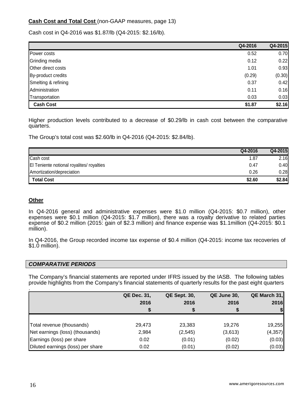# **Cash Cost and Total Cost** (non-GAAP measures, page 13)

Cash cost in Q4-2016 was \$1.87/lb (Q4-2015: \$2.16/lb).

|                     | Q4-2016 | Q4-2015 |
|---------------------|---------|---------|
| Power costs         | 0.52    | 0.70    |
| Grinding media      | 0.12    | 0.22    |
| Other direct costs  | 1.01    | 0.93    |
| By-product credits  | (0.29)  | (0.30)  |
| Smelting & refining | 0.37    | 0.42    |
| Administration      | 0.11    | 0.16    |
| Transportation      | 0.03    | 0.03    |
| <b>Cash Cost</b>    | \$1.87  | \$2.16  |

Higher production levels contributed to a decrease of \$0.29/lb in cash cost between the comparative quarters.

The Group's total cost was \$2.60/lb in Q4-2016 (Q4-2015: \$2.84/lb).

|                                           | Q4-2016 | Q4-2015 |
|-------------------------------------------|---------|---------|
| Cash cost                                 | 1.87    | 2.16    |
| El Teniente notional royalites/ royalties | 0.47    | 0.40    |
| Amortization/depreciation                 | 0.26    | 0.28    |
| <b>Total Cost</b>                         | \$2.60  | \$2.84  |

### **Other**

In Q4-2016 general and administrative expenses were \$1.0 million (Q4-2015: \$0.7 million), other expenses were \$0.1 million (Q4-2015: \$1.7 million), there was a royalty derivative to related parties expense of \$0.2 million (2015: gain of \$2.3 million) and finance expense was \$1.1million (Q4-2015: \$0.1 million).

In Q4-2016, the Group recorded income tax expense of \$0.4 million (Q4-2015: income tax recoveries of \$1.0 million).

#### *COMPARATIVE PERIODS*

The Company's financial statements are reported under IFRS issued by the IASB. The following tables provide highlights from the Company's financial statements of quarterly results for the past eight quarters

|                                   | <b>QE Dec. 31,</b><br>2016 | <b>QE Sept. 30,</b><br>2016<br>⊅ | QE June 30,<br>2016 | QE March 31,<br>2016 |
|-----------------------------------|----------------------------|----------------------------------|---------------------|----------------------|
| Total revenue (thousands)         | 29,473                     | 23,383                           | 19,276              | 19,255               |
| Net earnings (loss) (thousands)   | 2,984                      | (2, 545)                         | (3,613)             | (4, 357)             |
| Earnings (loss) per share         | 0.02                       | (0.01)                           | (0.02)              | (0.03)               |
| Diluted earnings (loss) per share | 0.02                       | (0.01)                           | (0.02)              | (0.03)               |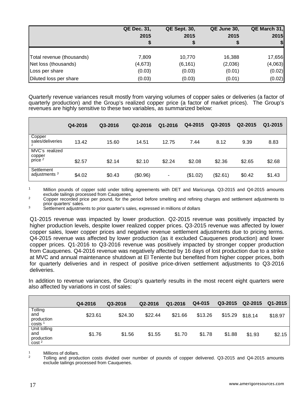|                           | <b>QE Dec. 31,</b><br>2015 | <b>QE Sept. 30,</b><br>2015 | QE June 30,<br>2015 | QE March 31,<br>2015 |
|---------------------------|----------------------------|-----------------------------|---------------------|----------------------|
|                           |                            | จ                           |                     |                      |
| Total revenue (thousands) | 7.809                      | 10,770                      | 16,388              | 17,656               |
| Net loss (thousands)      | (4,673)                    | (6, 161)                    | (2,036)             | (4,063)              |
| Loss per share            | (0.03)                     | (0.03)                      | (0.01)              | (0.02)               |
| Diluted loss per share    | (0.03)                     | (0.03)                      | (0.01)              | (0.02)               |

Quarterly revenue variances result mostly from varying volumes of copper sales or deliveries (a factor of quarterly production) and the Group's realized copper price (a factor of market prices). The Group's revenues are highly sensitive to these two variables, as summarized below:

|                                                | Q4-2016 | Q3-2016 | Q2-2016  | Q1-2016 | Q4-2015  | Q3-2015  | Q2-2015 | Q1-2015 |
|------------------------------------------------|---------|---------|----------|---------|----------|----------|---------|---------|
| Copper<br>sales/deliveries                     | 13.42   | 15.60   | 14.51    | 12.75   | 7.44     | 8.12     | 9.39    | 8.83    |
| MVC's realized<br>copper<br>price <sup>2</sup> | \$2.57  | \$2.14  | \$2.10   | \$2.24  | \$2.08   | \$2.36   | \$2.65  | \$2.68  |
| Settlement<br>adjustments <sup>3</sup>         | \$4.02  | \$0.43  | (\$0.96) | ۰       | (\$1.02) | (\$2.61) | \$0.42  | \$1.43  |

<sup>1</sup> Million pounds of copper sold under tolling agreements with DET and Maricunga. Q3-2015 and Q4-2015 amounts exclude tailings processed from Cauguenes.

exclude tailing copper recorded price per pound, for the period before smelting and refining charges and settlement adjustments to prior quarters' sales.

<sup>3</sup> Settlement adjustments to prior quarter's sales, expressed in millions of dollars

Q1-2015 revenue was impacted by lower production. Q2-2015 revenue was positively impacted by higher production levels, despite lower realized copper prices. Q3-2015 revenue was affected by lower copper sales, lower copper prices and negative revenue settlement adjustments due to pricing terms. Q4-2015 revenue was affected by lower production (as it excluded Cauquenes production) and lower copper prices. Q1-2016 to Q3-2016 revenue was positively impacted by stronger copper production from Cauquenes. Q4-2016 revenue was negatively affected by 16 days of lost production due to a strike at MVC and annual maintenance shutdown at El Teniente but benefited from higher copper prices, both for quarterly deliveries and in respect of positive price-driven settlement adjustments to Q3-2016 deliveries.

In addition to revenue variances, the Group's quarterly results in the most recent eight quarters were also affected by variations in cost of sales:

|                                                | Q4-2016 | Q3-2016 | Q2-2016 | Q1-2016 | Q4-015  | Q3-2015 | Q2-2015 | Q1-2015 |
|------------------------------------------------|---------|---------|---------|---------|---------|---------|---------|---------|
| Tolling<br>and<br>production<br>costs          | \$23.61 | \$24.30 | \$22.44 | \$21.66 | \$13.26 | \$15.29 | \$18.14 | \$18.97 |
| Unit tolling<br>and<br>production<br>$\cosh^2$ | \$1.76  | \$1.56  | \$1.55  | \$1.70  | \$1.78  | \$1.88  | \$1.93  | \$2.15  |

1 Millions of dollars.<br><sup>2</sup> Tolling and production costs divided over number of pounds of copper delivered. Q3-2015 and Q4-2015 amounts exclude tailings processed from Cauquenes.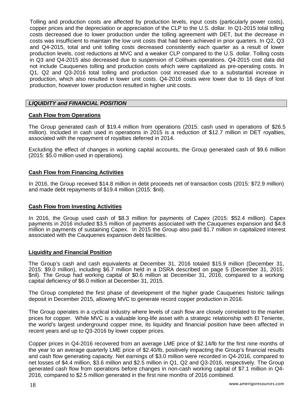Tolling and production costs are affected by production levels, input costs (particularly power costs), copper prices and the depreciation or appreciation of the CLP to the U.S. dollar. In Q1-2015 total tolling costs decreased due to lower production under the tolling agreement with DET, but the decrease in costs was insufficient to maintain the low unit costs that had been achieved in prior quarters. In Q2, Q3 and Q4-2015, total and unit tolling costs decreased consistently each quarter as a result of lower production levels, cost reductions at MVC and a weaker CLP compared to the U.S. dollar. Tolling costs in Q3 and Q4-2015 also decreased due to suspension of Colihues operations. Q4-2015 cost data did not include Cauquenes tolling and production costs which were capitalized as pre-operating costs. In Q1, Q2 and Q3-2016 total tolling and production cost increased due to a substantial increase in production, which also resulted in lower unit costs. Q4-2016 costs were lower due to 16 days of lost production, however lower production resulted in higher unit costs.

### *LIQUIDITY and FINANCIAL POSITION*

#### **Cash Flow from Operations**

The Group generated cash of \$19.4 million from operations (2015: cash used in operations of \$26.5 million). Included in cash used in operations in 2015 is a reduction of \$12.7 million in DET royalties, associated with the repayment of royalties deferred in 2014.

Excluding the effect of changes in working capital accounts, the Group generated cash of \$9.6 million (2015: \$5.0 million used in operations).

### **Cash Flow from Financing Activities**

In 2016, the Group received \$14.8 million in debt proceeds net of transaction costs (2015: \$72.9 million) and made debt repayments of \$19.4 million (2015: \$nil).

### **Cash Flow from Investing Activities**

In 2016, the Group used cash of \$8.3 million for payments of Capex (2015: \$52.4 million). Capex payments in 2016 included \$3.5 million of payments associated with the Cauquenes expansion and \$4.8 million in payments of sustaining Capex. In 2015 the Group also paid \$1.7 million in capitalized interest associated with the Cauquenes expansion debt facilities.

#### **Liquidity and Financial Position**

The Group's cash and cash equivalents at December 31, 2016 totaled \$15.9 million (December 31, 2015: \$9.0 million), including \$6.7 million held in a DSRA described on page 5 (December 31, 2015: \$nil). The Group had working capital of \$0.6 million at December 31, 2016, compared to a working capital deficiency of \$6.0 million at December 31, 2015.

The Group completed the first phase of development of the higher grade Cauquenes historic tailings deposit in December 2015, allowing MVC to generate record copper production in 2016.

The Group operates in a cyclical industry where levels of cash flow are closely correlated to the market prices for copper. While MVC is a valuable long-life asset with a strategic relationship with El Teniente, the world's largest underground copper mine, its liquidity and financial position have been affected in recent years and up to Q3-2016 by lower copper prices.

Copper prices in Q4-2016 recovered from an average LME price of \$2.14/lb for the first nine months of the year to an average quarterly LME price of \$2.40/lb, positively impacting the Group's financial results and cash flow generating capacity. Net earnings of \$3.0 million were recorded in Q4-2016, compared to net losses of \$4.4 million, \$3.6 million and \$2.5 million in Q1, Q2 and Q3-2016, respectively. The Group generated cash flow from operations before changes in non-cash working capital of \$7.1 million in Q4- 2016, compared to \$2.5 million generated in the first nine months of 2016 combined.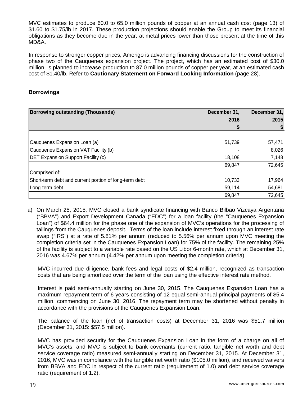MVC estimates to produce 60.0 to 65.0 million pounds of copper at an annual cash cost (page 13) of \$1.60 to \$1.75/lb in 2017. These production projections should enable the Group to meet its financial obligations as they become due in the year, at metal prices lower than those present at the time of this MD&A.

In response to stronger copper prices, Amerigo is advancing financing discussions for the construction of phase two of the Cauquenes expansion project. The project, which has an estimated cost of \$30.0 million, is planned to increase production to 87.0 million pounds of copper per year, at an estimated cash cost of \$1.40/lb. Refer to **Cautionary Statement on Forward Looking Information** (page 28).

### **Borrowings**

| <b>Borrowing outstanding (Thousands)</b>              | December 31, | December 31, |
|-------------------------------------------------------|--------------|--------------|
|                                                       | 2016         | 2015         |
|                                                       |              |              |
|                                                       |              |              |
| Cauquenes Expansion Loan (a)                          | 51,739       | 57,471       |
| Cauquenes Expansion VAT Facility (b)                  |              | 8,026        |
| <b>DET Expansion Support Facility (c)</b>             | 18,108       | 7,148        |
|                                                       | 69,847       | 72,645       |
| Comprised of:                                         |              |              |
| Short-term debt and current portion of long-term debt | 10,733       | 17,964       |
| Long-term debt                                        | 59,114       | 54,681       |
|                                                       | 69,847       | 72,645       |

a) On March 25, 2015, MVC closed a bank syndicate financing with Banco Bilbao Vizcaya Argentaria ("BBVA") and Export Development Canada ("EDC") for a loan facility (the "Cauquenes Expansion Loan") of \$64.4 million for the phase one of the expansion of MVC's operations for the processing of tailings from the Cauquenes deposit. Terms of the loan include interest fixed through an interest rate swap ("IRS") at a rate of 5.81% per annum (reduced to 5.56% per annum upon MVC meeting the completion criteria set in the Cauquenes Expansion Loan) for 75% of the facility. The remaining 25% of the facility is subject to a variable rate based on the US Libor 6-month rate, which at December 31, 2016 was 4.67% per annum (4.42% per annum upon meeting the completion criteria).

MVC incurred due diligence, bank fees and legal costs of \$2.4 million, recognized as transaction costs that are being amortized over the term of the loan using the effective interest rate method.

Interest is paid semi-annually starting on June 30, 2015. The Cauquenes Expansion Loan has a maximum repayment term of 6 years consisting of 12 equal semi-annual principal payments of \$5.4 million, commencing on June 30, 2016. The repayment term may be shortened without penalty in accordance with the provisions of the Cauquenes Expansion Loan.

The balance of the loan (net of transaction costs) at December 31, 2016 was \$51.7 million (December 31, 2015: \$57.5 million).

MVC has provided security for the Cauquenes Expansion Loan in the form of a charge on all of MVC's assets, and MVC is subject to bank covenants (current ratio, tangible net worth and debt service coverage ratio) measured semi-annually starting on December 31, 2015. At December 31, 2016, MVC was in compliance with the tangible net worth ratio (\$105.0 million), and received waivers from BBVA and EDC in respect of the current ratio (requirement of 1.0) and debt service coverage ratio (requirement of 1.2).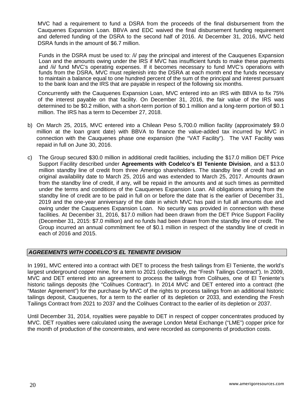MVC had a requirement to fund a DSRA from the proceeds of the final disbursement from the Cauquenes Expansion Loan. BBVA and EDC waived the final disbursement funding requirement and deferred funding of the DSRA to the second half of 2016. At December 31, 2016, MVC held DSRA funds in the amount of \$6.7 million.

Funds in the DSRA must be used to: /i/ pay the principal and interest of the Cauquenes Expansion Loan and the amounts owing under the IRS if MVC has insufficient funds to make these payments and /ii/ fund MVC's operating expenses. If it becomes necessary to fund MVC's operations with funds from the DSRA. MVC must replenish into the DSRA at each month end the funds necessary to maintain a balance equal to one hundred percent of the sum of the principal and interest pursuant to the bank loan and the IRS that are payable in respect of the following six months.

Concurrently with the Cauquenes Expansion Loan, MVC entered into an IRS with BBVA to fix 75% of the interest payable on that facility. On December 31, 2016, the fair value of the IRS was determined to be \$0.2 million, with a short-term portion of \$0.1 million and a long-term portion of \$0.1 million. The IRS has a term to December 27, 2018.

- b) On March 25, 2015, MVC entered into a Chilean Peso 5,700.0 million facility (approximately \$9.0 million at the loan grant date) with BBVA to finance the value-added tax incurred by MVC in connection with the Cauquenes phase one expansion (the "VAT Facility"). The VAT Facility was repaid in full on June 30, 2016.
- c) The Group secured \$30.0 million in additional credit facilities, including the \$17.0 million DET Price Support Facility described under **Agreements with Codelco's El Teniente Division**, and a \$13.0 million standby line of credit from three Amerigo shareholders. The standby line of credit had an original availability date to March 25, 2016 and was extended to March 25, 2017. Amounts drawn from the standby line of credit, if any, will be repaid in the amounts and at such times as permitted under the terms and conditions of the Cauquenes Expansion Loan. All obligations arising from the standby line of credit are to be paid in full on or before the date that is the earlier of December 31, 2019 and the one-year anniversary of the date in which MVC has paid in full all amounts due and owing under the Cauquenes Expansion Loan. No security was provided in connection with these facilities. At December 31, 2016, \$17.0 million had been drawn from the DET Price Support Facility (December 31, 2015: \$7.0 million) and no funds had been drawn from the standby line of credit. The Group incurred an annual commitment fee of \$0.1 million in respect of the standby line of credit in each of 2016 and 2015.

### *AGREEMENTS WITH CODELCO'S EL TENIENTE DIVISION*

In 1991, MVC entered into a contract with DET to process the fresh tailings from El Teniente, the world's largest underground copper mine, for a term to 2021 (collectively, the "Fresh Tailings Contract"). In 2009, MVC and DET entered into an agreement to process the tailings from Colihues, one of El Teniente's historic tailings deposits (the "Colihues Contract"). In 2014 MVC and DET entered into a contract (the "Master Agreement") for the purchase by MVC of the rights to process tailings from an additional historic tailings deposit, Cauquenes, for a term to the earlier of its depletion or 2033, and extending the Fresh Tailings Contract from 2021 to 2037 and the Colihues Contract to the earlier of its depletion or 2037.

Until December 31, 2014, royalties were payable to DET in respect of copper concentrates produced by MVC. DET royalties were calculated using the average London Metal Exchange ("LME") copper price for the month of production of the concentrates, and were recorded as components of production costs.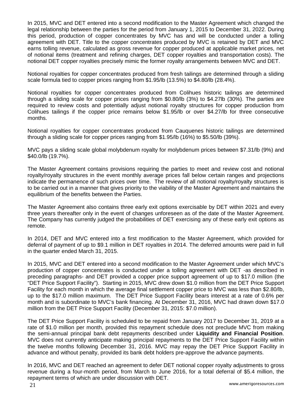In 2015, MVC and DET entered into a second modification to the Master Agreement which changed the legal relationship between the parties for the period from January 1, 2015 to December 31, 2022. During this period, production of copper concentrates by MVC has and will be conducted under a tolling agreement with DET. Title to the copper concentrates produced by MVC is retained by DET and MVC earns tolling revenue, calculated as gross revenue for copper produced at applicable market prices, net of notional items (treatment and refining charges, DET copper royalties and transportation costs). The notional DET copper royalties precisely mimic the former royalty arrangements between MVC and DET.

Notional royalties for copper concentrates produced from fresh tailings are determined through a sliding scale formula tied to copper prices ranging from \$1.95/lb (13.5%) to \$4.80/lb (28.4%).

Notional royalties for copper concentrates produced from Colihues historic tailings are determined through a sliding scale for copper prices ranging from \$0.80/lb (3%) to \$4.27lb (30%). The parties are required to review costs and potentially adjust notional royalty structures for copper production from Colihues tailings if the copper price remains below \$1.95/lb or over \$4.27/lb for three consecutive months.

Notional royalties for copper concentrates produced from Cauquenes historic tailings are determined through a sliding scale for copper prices ranging from \$1.95/lb (16%) to \$5.50/lb (39%).

MVC pays a sliding scale global molybdenum royalty for molybdenum prices between \$7.31/lb (9%) and \$40.0/lb (19.7%).

The Master Agreement contains provisions requiring the parties to meet and review cost and notional royalty/royalty structures in the event monthly average prices fall below certain ranges and projections indicate the permanence of such prices over time. The review of all notional royalty/royalty structures is to be carried out in a manner that gives priority to the viability of the Master Agreement and maintains the equilibrium of the benefits between the Parties.

The Master Agreement also contains three early exit options exercisable by DET within 2021 and every three years thereafter only in the event of changes unforeseen as of the date of the Master Agreement. The Company has currently judged the probabilities of DET exercising any of these early exit options as remote.

In 2014, DET and MVC entered into a first modification to the Master Agreement, which provided for deferral of payment of up to \$9.1 million in DET royalties in 2014. The deferred amounts were paid in full in the quarter ended March 31, 2015.

In 2015, MVC and DET entered into a second modification to the Master Agreement under which MVC's production of copper concentrates is conducted under a tolling agreement with DET -as described in preceding paragraphs- and DET provided a copper price support agreement of up to \$17.0 million (the "DET Price Support Facility"). Starting in 2015, MVC drew down \$1.0 million from the DET Price Support Facility for each month in which the average final settlement copper price to MVC was less than \$2.80/lb, up to the \$17.0 million maximum. The DET Price Support Facility bears interest at a rate of 0.6% per month and is subordinate to MVC's bank financing. At December 31, 2016, MVC had drawn down \$17.0 million from the DET Price Support Facility (December 31, 2015: \$7.0 million).

The DET Price Support Facility is scheduled to be repaid from January 2017 to December 31, 2019 at a rate of \$1.0 million per month, provided this repayment schedule does not preclude MVC from making the semi-annual principal bank debt repayments described under **Liquidity and Financial Position**. MVC does not currently anticipate making principal repayments to the DET Price Support Facility within the twelve months following December 31, 2016. MVC may repay the DET Price Support Facility in advance and without penalty, provided its bank debt holders pre-approve the advance payments.

In 2016, MVC and DET reached an agreement to defer DET notional copper royalty adjustments to gross revenue during a four-month period, from March to June 2016, for a total deferral of \$5.4 million, the repayment terms of which are under discussion with DET.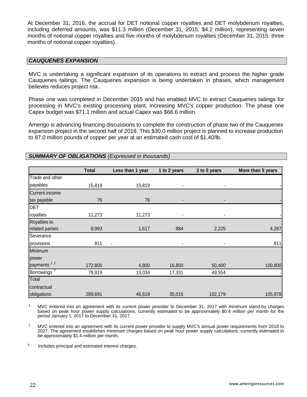At December 31, 2016, the accrual for DET notional copper royalties and DET molybdenum royalties, including deferred amounts, was \$11.3 million (December 31, 2015: \$4.2 million), representing seven months of notional copper royalties and five months of molybdenum royalties (December 31, 2015: three months of notional copper royalties).

### *CAUQUENES EXPANSION*

MVC is undertaking a significant expansion of its operations to extract and process the higher grade Cauquenes tailings. The Cauquenes expansion is being undertaken in phases, which management believes reduces project risk.

Phase one was completed in December 2015 and has enabled MVC to extract Cauquenes tailings for processing in MVC's existing processing plant, increasing MVC's copper production. The phase one Capex budget was \$71.1 million and actual Capex was \$66.6 million.

Amerigo is advancing financing discussions to complete the construction of phase two of the Cauquenes expansion project in the second half of 2018. This \$30.0 million project is planned to increase production to 87.0 million pounds of copper per year at an estimated cash cost of \$1.40/lb.

|                         | <b>Total</b> | Less than 1 year | 1 to 2 years   | 2 to 5 years   | More than 5 years |
|-------------------------|--------------|------------------|----------------|----------------|-------------------|
| Trade and other         |              |                  |                |                |                   |
| payables                | 15,819       | 15,819           |                | ٠              |                   |
| <b>Current income</b>   |              |                  |                |                |                   |
| tax payable             | 76           | 76               | ٠              | ٠              |                   |
| <b>DET</b>              |              |                  |                |                |                   |
| royalties               | 11,273       | 11,273           | ٠              | $\overline{a}$ |                   |
| Royalties to            |              |                  |                |                |                   |
| related parties         | 8,993        | 1,617            | 884            | 2,225          | 4,267             |
| Severance               |              |                  |                |                |                   |
| provisions              | 811          | $\blacksquare$   | $\overline{a}$ | -              | 811               |
| Minimum                 |              |                  |                |                |                   |
| power                   |              |                  |                |                |                   |
| payments <sup>1,2</sup> | 172,800      | 4,800            | 16,800         | 50,400         | 100,800           |
| Borrowings <sup>3</sup> | 79,919       | 13,034           | 17,331         | 49,554         |                   |
| Total                   |              |                  |                |                |                   |
| contractual             |              |                  |                |                |                   |
| obligations             | 289,691      | 46,619           | 35,015         | 102,179        | 105,878           |

*SUMMARY OF OBLIGATIONS (Expressed in thousands)*

<sup>1</sup> MVC entered into an agreement with its current power provider to December 31, 2017 with minimum stand-by charges based on peak hour power supply calculations, currently estimated to be approximately \$0.4 million per month for the period January 1, 2017 to December 31, 2017.

<sup>2</sup> MVC entered into an agreement with its current power provider to supply MVC's annual power requirements from 2018 to 2027. The agreement establishes minimum charges based on peak hour power supply calculations, currently estimated to be approximately \$1.4 million per month.

<sup>3</sup> Includes principal and estimated interest charges.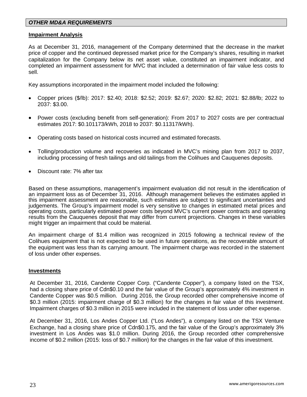### *OTHER MD&A REQUIREMENTS*

#### **Impairment Analysis**

As at December 31, 2016, management of the Company determined that the decrease in the market price of copper and the continued depressed market price for the Company's shares, resulting in market capitalization for the Company below its net asset value, constituted an impairment indicator, and completed an impairment assessment for MVC that included a determination of fair value less costs to sell.

Key assumptions incorporated in the impairment model included the following:

- Copper prices (\$/lb): 2017: \$2.40; 2018: \$2.52; 2019: \$2.67; 2020: \$2.82; 2021: \$2.88/lb; 2022 to 2037: \$3.00.
- Power costs (excluding benefit from self-generation): From 2017 to 2027 costs are per contractual estimates 2017: \$0.101173/kWh, 2018 to 2037: \$0.11317/kWh).
- Operating costs based on historical costs incurred and estimated forecasts.
- Tolling/production volume and recoveries as indicated in MVC's mining plan from 2017 to 2037, including processing of fresh tailings and old tailings from the Colihues and Cauquenes deposits.
- Discount rate: 7% after tax

Based on these assumptions, management's impairment evaluation did not result in the identification of an impairment loss as of December 31, 2016. Although management believes the estimates applied in this impairment assessment are reasonable, such estimates are subject to significant uncertainties and judgements. The Group's impairment model is very sensitive to changes in estimated metal prices and operating costs, particularly estimated power costs beyond MVC's current power contracts and operating results from the Cauquenes deposit that may differ from current projections. Changes in these variables might trigger an impairment that could be material.

An impairment charge of \$1.4 million was recognized in 2015 following a technical review of the Colihues equipment that is not expected to be used in future operations, as the recoverable amount of the equipment was less than its carrying amount. The impairment charge was recorded in the statement of loss under other expenses.

#### **Investments**

At December 31, 2016, Candente Copper Corp. ("Candente Copper"), a company listed on the TSX, had a closing share price of Cdn\$0.10 and the fair value of the Group's approximately 4% investment in Candente Copper was \$0.5 million. During 2016, the Group recorded other comprehensive income of \$0.3 million (2015: impairment charge of \$0.3 million) for the changes in fair value of this investment. Impairment charges of \$0.3 million in 2015 were included in the statement of loss under other expense.

At December 31, 2016, Los Andes Copper Ltd. ("Los Andes"), a company listed on the TSX Venture Exchange, had a closing share price of Cdn\$0.175, and the fair value of the Group's approximately 3% investment in Los Andes was \$1.0 million. During 2016, the Group recorded other comprehensive income of \$0.2 million (2015: loss of \$0.7 million) for the changes in the fair value of this investment.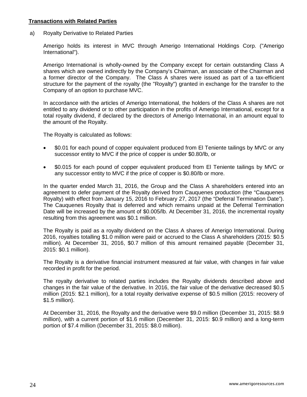#### **Transactions with Related Parties**

a) Royalty Derivative to Related Parties

Amerigo holds its interest in MVC through Amerigo International Holdings Corp. ("Amerigo International").

Amerigo International is wholly-owned by the Company except for certain outstanding Class A shares which are owned indirectly by the Company's Chairman, an associate of the Chairman and a former director of the Company. The Class A shares were issued as part of a tax-efficient structure for the payment of the royalty (the "Royalty") granted in exchange for the transfer to the Company of an option to purchase MVC.

In accordance with the articles of Amerigo International, the holders of the Class A shares are not entitled to any dividend or to other participation in the profits of Amerigo International, except for a total royalty dividend, if declared by the directors of Amerigo International, in an amount equal to the amount of the Royalty.

The Royalty is calculated as follows:

- \$0.01 for each pound of copper equivalent produced from El Teniente tailings by MVC or any successor entity to MVC if the price of copper is under \$0.80/lb, or
- \$0.015 for each pound of copper equivalent produced from El Teniente tailings by MVC or any successor entity to MVC if the price of copper is \$0.80/lb or more.

In the quarter ended March 31, 2016, the Group and the Class A shareholders entered into an agreement to defer payment of the Royalty derived from Cauquenes production (the "Cauquenes Royalty) with effect from January 15, 2016 to February 27, 2017 (the "Deferral Termination Date"). The Cauquenes Royalty that is deferred and which remains unpaid at the Deferral Termination Date will be increased by the amount of \$0.005/lb. At December 31, 2016, the incremental royalty resulting from this agreement was \$0.1 million.

The Royalty is paid as a royalty dividend on the Class A shares of Amerigo International. During 2016, royalties totalling \$1.0 million were paid or accrued to the Class A shareholders (2015: \$0.5 million). At December 31, 2016, \$0.7 million of this amount remained payable (December 31, 2015: \$0.1 million).

The Royalty is a derivative financial instrument measured at fair value, with changes in fair value recorded in profit for the period.

The royalty derivative to related parties includes the Royalty dividends described above and changes in the fair value of the derivative. In 2016, the fair value of the derivative decreased \$0.5 million (2015: \$2.1 million), for a total royalty derivative expense of \$0.5 million (2015: recovery of \$1.5 million).

At December 31, 2016, the Royalty and the derivative were \$9.0 million (December 31, 2015: \$8.9 million), with a current portion of \$1.6 million (December 31, 2015: \$0.9 million) and a long-term portion of \$7.4 million (December 31, 2015: \$8.0 million).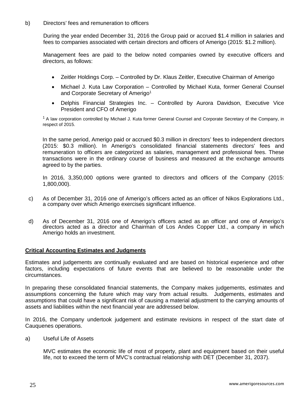b) Directors' fees and remuneration to officers

During the year ended December 31, 2016 the Group paid or accrued \$1.4 million in salaries and fees to companies associated with certain directors and officers of Amerigo (2015: \$1.2 million).

Management fees are paid to the below noted companies owned by executive officers and directors, as follows:

- Zeitler Holdings Corp. Controlled by Dr. Klaus Zeitler, Executive Chairman of Amerigo
- Michael J. Kuta Law Corporation Controlled by Michael Kuta, former General Counsel and Corporate Secretary of Amerigo<sup>1</sup>
- Delphis Financial Strategies Inc. Controlled by Aurora Davidson, Executive Vice President and CFO of Amerigo

 $1$  A law corporation controlled by Michael J. Kuta former General Counsel and Corporate Secretary of the Company, in respect of 2015.

In the same period, Amerigo paid or accrued \$0.3 million in directors' fees to independent directors (2015: \$0.3 million). In Amerigo's consolidated financial statements directors' fees and remuneration to officers are categorized as salaries, management and professional fees. These transactions were in the ordinary course of business and measured at the exchange amounts agreed to by the parties.

In 2016, 3,350,000 options were granted to directors and officers of the Company (2015: 1,800,000).

- c) As of December 31, 2016 one of Amerigo's officers acted as an officer of Nikos Explorations Ltd., a company over which Amerigo exercises significant influence.
- d) As of December 31, 2016 one of Amerigo's officers acted as an officer and one of Amerigo's directors acted as a director and Chairman of Los Andes Copper Ltd., a company in which Amerigo holds an investment.

#### **Critical Accounting Estimates and Judgments**

Estimates and judgements are continually evaluated and are based on historical experience and other factors, including expectations of future events that are believed to be reasonable under the circumstances.

In preparing these consolidated financial statements, the Company makes judgements, estimates and assumptions concerning the future which may vary from actual results. Judgements, estimates and assumptions that could have a significant risk of causing a material adjustment to the carrying amounts of assets and liabilities within the next financial year are addressed below.

In 2016, the Company undertook judgement and estimate revisions in respect of the start date of Cauquenes operations.

a) Useful Life of Assets

MVC estimates the economic life of most of property, plant and equipment based on their useful life, not to exceed the term of MVC's contractual relationship with DET (December 31, 2037).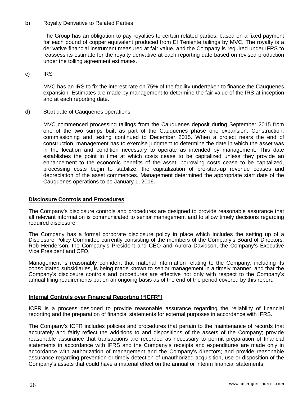#### b) Royalty Derivative to Related Parties

The Group has an obligation to pay royalties to certain related parties, based on a fixed payment for each pound of copper equivalent produced from El Teniente tailings by MVC. The royalty is a derivative financial instrument measured at fair value, and the Company is required under IFRS to reassess its estimate for the royalty derivative at each reporting date based on revised production under the tolling agreement estimates.

c) IRS

MVC has an IRS to fix the interest rate on 75% of the facility undertaken to finance the Cauquenes expansion. Estimates are made by management to determine the fair value of the IRS at inception and at each reporting date.

d) Start date of Cauquenes operations

MVC commenced processing tailings from the Cauquenes deposit during September 2015 from one of the two sumps built as part of the Cauquenes phase one expansion. Construction, commissioning and testing continued to December 2015. When a project nears the end of construction, management has to exercise judgment to determine the date in which the asset was in the location and condition necessary to operate as intended by management. This date establishes the point in time at which costs cease to be capitalized unless they provide an enhancement to the economic benefits of the asset, borrowing costs cease to be capitalized, processing costs begin to stabilize, the capitalization of pre-start-up revenue ceases and depreciation of the asset commences. Management determined the appropriate start date of the Cauquenes operations to be January 1, 2016.

### **Disclosure Controls and Procedures**

The Company's disclosure controls and procedures are designed to provide reasonable assurance that all relevant information is communicated to senior management and to allow timely decisions regarding required disclosure.

The Company has a formal corporate disclosure policy in place which includes the setting up of a Disclosure Policy Committee currently consisting of the members of the Company's Board of Directors, Rob Henderson, the Company's President and CEO and Aurora Davidson, the Company's Executive Vice President and CFO.

Management is reasonably confident that material information relating to the Company, including its consolidated subsidiaries, is being made known to senior management in a timely manner, and that the Company's disclosure controls and procedures are effective not only with respect to the Company's annual filing requirements but on an ongoing basis as of the end of the period covered by this report.

### **Internal Controls over Financial Reporting ("ICFR")**

ICFR is a process designed to provide reasonable assurance regarding the reliability of financial reporting and the preparation of financial statements for external purposes in accordance with IFRS.

The Company's ICFR includes policies and procedures that pertain to the maintenance of records that accurately and fairly reflect the additions to and dispositions of the assets of the Company; provide reasonable assurance that transactions are recorded as necessary to permit preparation of financial statements in accordance with IFRS and the Company's receipts and expenditures are made only in accordance with authorization of management and the Company's directors; and provide reasonable assurance regarding prevention or timely detection of unauthorized acquisition, use or disposition of the Company's assets that could have a material effect on the annual or interim financial statements.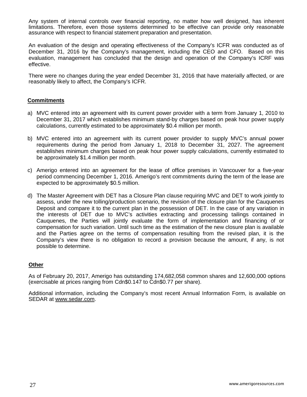Any system of internal controls over financial reporting, no matter how well designed, has inherent limitations. Therefore, even those systems determined to be effective can provide only reasonable assurance with respect to financial statement preparation and presentation.

An evaluation of the design and operating effectiveness of the Company's ICFR was conducted as of December 31, 2016 by the Company's management, including the CEO and CFO. Based on this evaluation, management has concluded that the design and operation of the Company's ICRF was effective.

There were no changes during the year ended December 31, 2016 that have materially affected, or are reasonably likely to affect, the Company's ICFR.

### **Commitments**

- a) MVC entered into an agreement with its current power provider with a term from January 1, 2010 to December 31, 2017 which establishes minimum stand-by charges based on peak hour power supply calculations, currently estimated to be approximately \$0.4 million per month.
- b) MVC entered into an agreement with its current power provider to supply MVC's annual power requirements during the period from January 1, 2018 to December 31, 2027. The agreement establishes minimum charges based on peak hour power supply calculations, currently estimated to be approximately \$1.4 million per month.
- c) Amerigo entered into an agreement for the lease of office premises in Vancouver for a five-year period commencing December 1, 2016. Amerigo's rent commitments during the term of the lease are expected to be approximately \$0.5 million.
- d) The Master Agreement with DET has a Closure Plan clause requiring MVC and DET to work jointly to assess, under the new tolling/production scenario, the revision of the closure plan for the Cauquenes Deposit and compare it to the current plan in the possession of DET. In the case of any variation in the interests of DET due to MVC's activities extracting and processing tailings contained in Cauquenes, the Parties will jointly evaluate the form of implementation and financing of or compensation for such variation. Until such time as the estimation of the new closure plan is available and the Parties agree on the terms of compensation resulting from the revised plan, it is the Company's view there is no obligation to record a provision because the amount, if any, is not possible to determine.

#### **Other**

As of February 20, 2017, Amerigo has outstanding 174,682,058 common shares and 12,600,000 options (exercisable at prices ranging from Cdn\$0.147 to Cdn\$0.77 per share).

Additional information, including the Company's most recent Annual Information Form, is available on SEDAR at [www.sedar.com.](http://www.sedar.com/)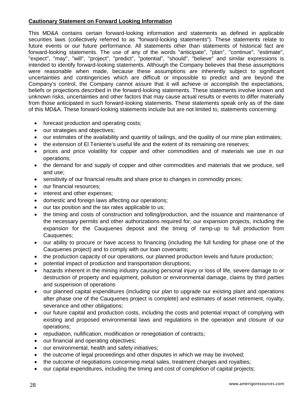# **Cautionary Statement on Forward Looking Information**

This MD&A contains certain forward-looking information and statements as defined in applicable securities laws (collectively referred to as "forward-looking statements"). These statements relate to future events or our future performance. All statements other than statements of historical fact are forward-looking statements. The use of any of the words "anticipate", "plan", "continue", "estimate", "expect", "may", "will", "project", "predict", "potential", "should", "believe" and similar expressions is intended to identify forward-looking statements. Although the Company believes that these assumptions were reasonable when made, because these assumptions are inherently subject to significant uncertainties and contingencies which are difficult or impossible to predict and are beyond the Company's control, the Company cannot assure that it will achieve or accomplish the expectations, beliefs or projections described in the forward-looking statements. These statements involve known and unknown risks, uncertainties and other factors that may cause actual results or events to differ materially from those anticipated in such forward-looking statements. These statements speak only as of the date of this MD&A. These forward-looking statements include but are not limited to, statements concerning:

- forecast production and operating costs;
- our strategies and objectives;
- our estimates of the availability and quantity of tailings, and the quality of our mine plan estimates;
- the extension of El Teniente's useful life and the extent of its remaining ore reserves;
- prices and price volatility for copper and other commodities and of materials we use in our operations;
- the demand for and supply of copper and other commodities and materials that we produce, sell and use;
- sensitivity of our financial results and share price to changes in commodity prices;
- our financial resources;
- interest and other expenses;
- domestic and foreign laws affecting our operations;
- our tax position and the tax rates applicable to us;
- the timing and costs of construction and tolling/production, and the issuance and maintenance of the necessary permits and other authorizations required for, our expansion projects, including the expansion for the Cauquenes deposit and the timing of ramp-up to full production from Cauquenes;
- our ability to procure or have access to financing (including the full funding for phase one of the Cauquenes project) and to comply with our loan covenants;
- the production capacity of our operations, our planned production levels and future production;
- potential impact of production and transportation disruptions;
- hazards inherent in the mining industry causing personal injury or loss of life, severe damage to or destruction of property and equipment, pollution or environmental damage, claims by third parties and suspension of operations
- our planned capital expenditures (including our plan to upgrade our existing plant and operations after phase one of the Cauquenes project is complete) and estimates of asset retirement, royalty, severance and other obligations;
- our future capital and production costs, including the costs and potential impact of complying with existing and proposed environmental laws and regulations in the operation and closure of our operations;
- repudiation, nullification, modification or renegotiation of contracts;
- our financial and operating objectives;
- our environmental, health and safety initiatives;
- the outcome of legal proceedings and other disputes in which we may be involved;
- the outcome of negotiations concerning metal sales, treatment charges and royalties;
- our capital expenditures, including the timing and cost of completion of capital projects;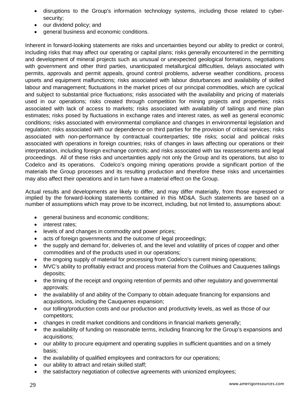- disruptions to the Group's information technology systems, including those related to cybersecurity;
- our dividend policy; and
- general business and economic conditions.

Inherent in forward-looking statements are risks and uncertainties beyond our ability to predict or control, including risks that may affect our operating or capital plans; risks generally encountered in the permitting and development of mineral projects such as unusual or unexpected geological formations, negotiations with government and other third parties, unanticipated metallurgical difficulties, delays associated with permits, approvals and permit appeals, ground control problems, adverse weather conditions, process upsets and equipment malfunctions; risks associated with labour disturbances and availability of skilled labour and management; fluctuations in the market prices of our principal commodities, which are cyclical and subject to substantial price fluctuations; risks associated with the availability and pricing of materials used in our operations; risks created through competition for mining projects and properties; risks associated with lack of access to markets; risks associated with availability of tailings and mine plan estimates; risks posed by fluctuations in exchange rates and interest rates, as well as general economic conditions; risks associated with environmental compliance and changes in environmental legislation and regulation; risks associated with our dependence on third parties for the provision of critical services; risks associated with non-performance by contractual counterparties; title risks; social and political risks associated with operations in foreign countries; risks of changes in laws affecting our operations or their interpretation, including foreign exchange controls; and risks associated with tax reassessments and legal proceedings. All of these risks and uncertainties apply not only the Group and its operations, but also to Codelco and its operations. Codelco's ongoing mining operations provide a significant portion of the materials the Group processes and its resulting production and therefore these risks and uncertainties may also affect their operations and in turn have a material effect on the Group.

Actual results and developments are likely to differ, and may differ materially, from those expressed or implied by the forward-looking statements contained in this MD&A. Such statements are based on a number of assumptions which may prove to be incorrect, including, but not limited to, assumptions about:

- general business and economic conditions;
- interest rates:
- levels of and changes in commodity and power prices;
- acts of foreign governments and the outcome of legal proceedings;
- the supply and demand for, deliveries of, and the level and volatility of prices of copper and other commodities and of the products used in our operations;
- the ongoing supply of material for processing from Codelco's current mining operations;
- MVC's ability to profitably extract and process material from the Colihues and Cauquenes tailings deposits;
- the timing of the receipt and ongoing retention of permits and other regulatory and governmental approvals;
- the availability of and ability of the Company to obtain adequate financing for expansions and acquisitions, including the Cauquenes expansion;
- our tolling/production costs and our production and productivity levels, as well as those of our competitors;
- changes in credit market conditions and conditions in financial markets generally;
- the availability of funding on reasonable terms, including financing for the Group's expansions and acquisitions;
- our ability to procure equipment and operating supplies in sufficient quantities and on a timely basis;
- the availability of qualified employees and contractors for our operations;
- our ability to attract and retain skilled staff;
- the satisfactory negotiation of collective agreements with unionized employees;